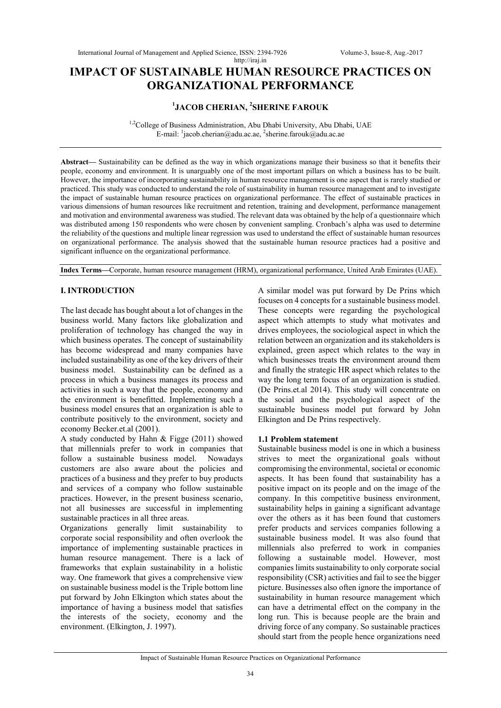# **IMPACT OF SUSTAINABLE HUMAN RESOURCE PRACTICES ON ORGANIZATIONAL PERFORMANCE**

# **1 JACOB CHERIAN, <sup>2</sup> SHERINE FAROUK**

<sup>1,2</sup>College of Business Administration, Abu Dhabi University, Abu Dhabi, UAE E-mail: <sup>1</sup>jacob.cherian@adu.ac.ae, <sup>2</sup>sherine.farouk@adu.ac.ae

**Abstract—** Sustainability can be defined as the way in which organizations manage their business so that it benefits their people, economy and environment. It is unarguably one of the most important pillars on which a business has to be built. However, the importance of incorporating sustainability in human resource management is one aspect that is rarely studied or practiced. This study was conducted to understand the role of sustainability in human resource management and to investigate the impact of sustainable human resource practices on organizational performance. The effect of sustainable practices in various dimensions of human resources like recruitment and retention, training and development, performance management and motivation and environmental awareness was studied. The relevant data was obtained by the help of a questionnaire which was distributed among 150 respondents who were chosen by convenient sampling. Cronbach's alpha was used to determine the reliability of the questions and multiple linear regression was used to understand the effect of sustainable human resources on organizational performance. The analysis showed that the sustainable human resource practices had a positive and significant influence on the organizational performance.

**Index Terms—**Corporate, human resource management (HRM), organizational performance, United Arab Emirates (UAE).

# **I. INTRODUCTION**

The last decade has bought about a lot of changes in the business world. Many factors like globalization and proliferation of technology has changed the way in which business operates. The concept of sustainability has become widespread and many companies have included sustainability as one of the key drivers of their business model. Sustainability can be defined as a process in which a business manages its process and activities in such a way that the people, economy and the environment is benefitted. Implementing such a business model ensures that an organization is able to contribute positively to the environment, society and economy Becker.et.al (2001).

A study conducted by Hahn & Figge (2011) showed that millennials prefer to work in companies that follow a sustainable business model. Nowadays customers are also aware about the policies and practices of a business and they prefer to buy products and services of a company who follow sustainable practices. However, in the present business scenario, not all businesses are successful in implementing sustainable practices in all three areas.

Organizations generally limit sustainability to corporate social responsibility and often overlook the importance of implementing sustainable practices in human resource management. There is a lack of frameworks that explain sustainability in a holistic way. One framework that gives a comprehensive view on sustainable business model is the Triple bottom line put forward by John Elkington which states about the importance of having a business model that satisfies the interests of the society, economy and the environment. (Elkington, J. 1997).

A similar model was put forward by De Prins which focuses on 4 concepts for a sustainable business model. These concepts were regarding the psychological aspect which attempts to study what motivates and drives employees, the sociological aspect in which the relation between an organization and its stakeholders is explained, green aspect which relates to the way in which businesses treats the environment around them and finally the strategic HR aspect which relates to the way the long term focus of an organization is studied. (De Prins.et.al 2014). This study will concentrate on the social and the psychological aspect of the sustainable business model put forward by John Elkington and De Prins respectively.

## **1.1 Problem statement**

Sustainable business model is one in which a business strives to meet the organizational goals without compromising the environmental, societal or economic aspects. It has been found that sustainability has a positive impact on its people and on the image of the company. In this competitive business environment, sustainability helps in gaining a significant advantage over the others as it has been found that customers prefer products and services companies following a sustainable business model. It was also found that millennials also preferred to work in companies following a sustainable model. However, most companies limits sustainability to only corporate social responsibility (CSR) activities and fail to see the bigger picture. Businesses also often ignore the importance of sustainability in human resource management which can have a detrimental effect on the company in the long run. This is because people are the brain and driving force of any company. So sustainable practices should start from the people hence organizations need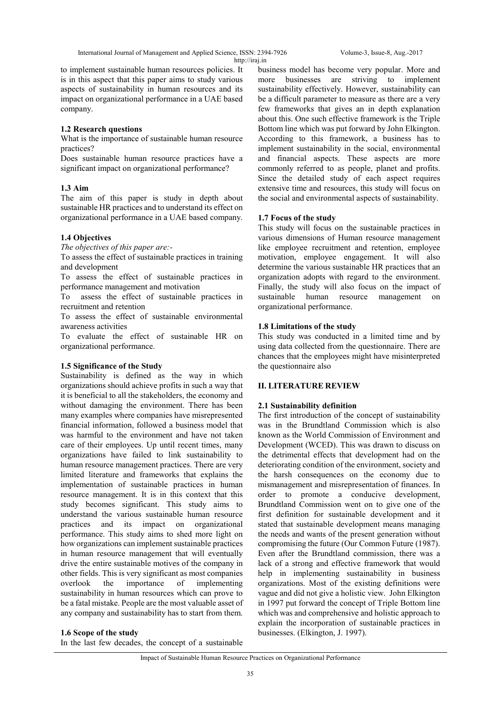International Journal of Management and Applied Science, ISSN: 2394-7926 Volume-3, Issue-8, Aug.-2017

http://iraj.in

to implement sustainable human resources policies. It is in this aspect that this paper aims to study various aspects of sustainability in human resources and its impact on organizational performance in a UAE based company.

# **1.2 Research questions**

What is the importance of sustainable human resource practices?

Does sustainable human resource practices have a significant impact on organizational performance?

# **1.3 Aim**

The aim of this paper is study in depth about sustainable HR practices and to understand its effect on organizational performance in a UAE based company.

# **1.4 Objectives**

*The objectives of this paper are:-*

To assess the effect of sustainable practices in training and development

To assess the effect of sustainable practices in performance management and motivation

To assess the effect of sustainable practices in recruitment and retention

To assess the effect of sustainable environmental awareness activities

To evaluate the effect of sustainable HR on organizational performance.

## **1.5 Significance of the Study**

Sustainability is defined as the way in which organizations should achieve profits in such a way that it is beneficial to all the stakeholders, the economy and without damaging the environment. There has been many examples where companies have misrepresented financial information, followed a business model that was harmful to the environment and have not taken care of their employees. Up until recent times, many organizations have failed to link sustainability to human resource management practices. There are very limited literature and frameworks that explains the implementation of sustainable practices in human resource management. It is in this context that this study becomes significant. This study aims to understand the various sustainable human resource practices and its impact on organizational performance. This study aims to shed more light on how organizations can implement sustainable practices in human resource management that will eventually drive the entire sustainable motives of the company in other fields. This is very significant as most companies overlook the importance of implementing sustainability in human resources which can prove to be a fatal mistake. People are the most valuable asset of any company and sustainability has to start from them.

business model has become very popular. More and more businesses are striving to implement sustainability effectively. However, sustainability can be a difficult parameter to measure as there are a very few frameworks that gives an in depth explanation about this. One such effective framework is the Triple Bottom line which was put forward by John Elkington. According to this framework, a business has to implement sustainability in the social, environmental and financial aspects. These aspects are more commonly referred to as people, planet and profits. Since the detailed study of each aspect requires extensive time and resources, this study will focus on the social and environmental aspects of sustainability.

# **1.7 Focus of the study**

This study will focus on the sustainable practices in various dimensions of Human resource management like employee recruitment and retention, employee motivation, employee engagement. It will also determine the various sustainable HR practices that an organization adopts with regard to the environment. Finally, the study will also focus on the impact of sustainable human resource management on organizational performance.

# **1.8 Limitations of the study**

This study was conducted in a limited time and by using data collected from the questionnaire. There are chances that the employees might have misinterpreted the questionnaire also

## **II. LITERATURE REVIEW**

# **2.1 Sustainability definition**

The first introduction of the concept of sustainability was in the Brundtland Commission which is also known as the World Commission of Environment and Development (WCED). This was drawn to discuss on the detrimental effects that development had on the deteriorating condition of the environment, society and the harsh consequences on the economy due to mismanagement and misrepresentation of finances. In order to promote a conducive development, Brundtland Commission went on to give one of the first definition for sustainable development and it stated that sustainable development means managing the needs and wants of the present generation without compromising the future (Our Common Future (1987). Even after the Brundtland commission, there was a lack of a strong and effective framework that would help in implementing sustainability in business organizations. Most of the existing definitions were vague and did not give a holistic view. John Elkington in 1997 put forward the concept of Triple Bottom line which was and comprehensive and holistic approach to explain the incorporation of sustainable practices in businesses. (Elkington, J. 1997).

#### **1.6 Scope of the study**

In the last few decades, the concept of a sustainable

#### Impact of Sustainable Human Resource Practices on Organizational Performance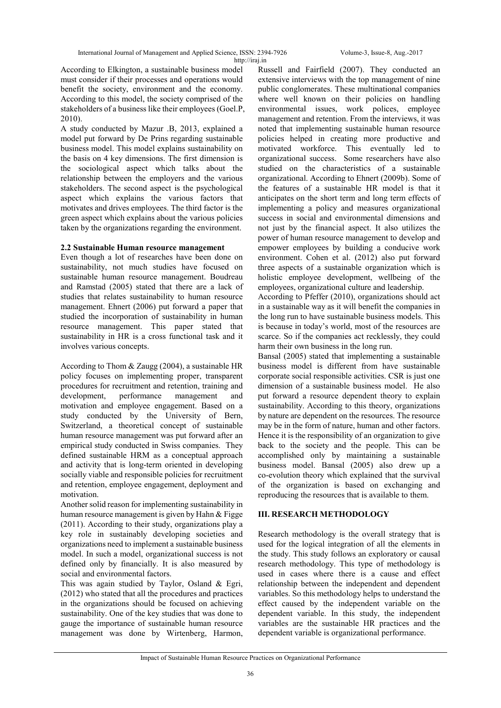According to Elkington, a sustainable business model must consider if their processes and operations would benefit the society, environment and the economy. According to this model, the society comprised of the stakeholders of a business like their employees (Goel.P, 2010).

A study conducted by Mazur .B, 2013, explained a model put forward by De Prins regarding sustainable business model. This model explains sustainability on the basis on 4 key dimensions. The first dimension is the sociological aspect which talks about the relationship between the employers and the various stakeholders. The second aspect is the psychological aspect which explains the various factors that motivates and drives employees. The third factor is the green aspect which explains about the various policies taken by the organizations regarding the environment.

## **2.2 Sustainable Human resource management**

Even though a lot of researches have been done on sustainability, not much studies have focused on sustainable human resource management. Boudreau and Ramstad (2005) stated that there are a lack of studies that relates sustainability to human resource management. Ehnert (2006) put forward a paper that studied the incorporation of sustainability in human resource management. This paper stated that sustainability in HR is a cross functional task and it involves various concepts.

According to Thom & Zaugg (2004), a sustainable HR policy focuses on implementing proper, transparent procedures for recruitment and retention, training and development, performance management and motivation and employee engagement. Based on a study conducted by the University of Bern, Switzerland, a theoretical concept of sustainable human resource management was put forward after an empirical study conducted in Swiss companies. They defined sustainable HRM as a conceptual approach and activity that is long-term oriented in developing socially viable and responsible policies for recruitment and retention, employee engagement, deployment and motivation.

Another solid reason for implementing sustainability in human resource management is given by Hahn & Figge (2011). According to their study, organizations play a key role in sustainably developing societies and organizations need to implement a sustainable business model. In such a model, organizational success is not defined only by financially. It is also measured by social and environmental factors.

This was again studied by Taylor, Osland & Egri, (2012) who stated that all the procedures and practices in the organizations should be focused on achieving sustainability. One of the key studies that was done to gauge the importance of sustainable human resource management was done by Wirtenberg, Harmon, Russell and Fairfield (2007). They conducted an extensive interviews with the top management of nine public conglomerates. These multinational companies where well known on their policies on handling environmental issues, work polices, employee management and retention. From the interviews, it was noted that implementing sustainable human resource policies helped in creating more productive and motivated workforce. This eventually led to organizational success. Some researchers have also studied on the characteristics of a sustainable organizational. According to Ehnert (2009b). Some of the features of a sustainable HR model is that it anticipates on the short term and long term effects of implementing a policy and measures organizational success in social and environmental dimensions and not just by the financial aspect. It also utilizes the power of human resource management to develop and empower employees by building a conducive work environment. Cohen et al. (2012) also put forward three aspects of a sustainable organization which is holistic employee development, wellbeing of the employees, organizational culture and leadership.

According to Pfeffer (2010), organizations should act in a sustainable way as it will benefit the companies in the long run to have sustainable business models. This is because in today's world, most of the resources are scarce. So if the companies act recklessly, they could harm their own business in the long run.

Bansal (2005) stated that implementing a sustainable business model is different from have sustainable corporate social responsible activities. CSR is just one dimension of a sustainable business model. He also put forward a resource dependent theory to explain sustainability. According to this theory, organizations by nature are dependent on the resources. The resource may be in the form of nature, human and other factors. Hence it is the responsibility of an organization to give back to the society and the people. This can be accomplished only by maintaining a sustainable business model. Bansal (2005) also drew up a co-evolution theory which explained that the survival of the organization is based on exchanging and reproducing the resources that is available to them.

## **III. RESEARCH METHODOLOGY**

Research methodology is the overall strategy that is used for the logical integration of all the elements in the study. This study follows an exploratory or causal research methodology. This type of methodology is used in cases where there is a cause and effect relationship between the independent and dependent variables. So this methodology helps to understand the effect caused by the independent variable on the dependent variable. In this study, the independent variables are the sustainable HR practices and the dependent variable is organizational performance.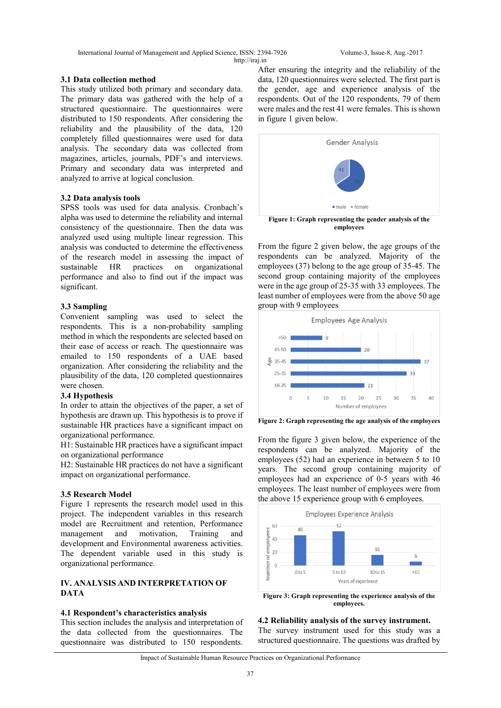International Journal of Management and Applied Science, ISSN: 2394-7926 Volume-3, Issue-8, Aug.-2017 http://iraj.in

#### **3.1 Data collection method**

This study utilized both primary and secondary data. The primary data was gathered with the help of a structured questionnaire. The questionnaires were distributed to 150 respondents. After considering the reliability and the plausibility of the data, 120 completely filled questionnaires were used for data analysis. The secondary data was collected from magazines, articles, journals, PDF's and interviews. Primary and secondary data was interpreted and analyzed to arrive at logical conclusion.

#### **3.2 Data analysis tools**

SPSS tools was used for data analysis. Cronbach's alpha was used to determine the reliability and internal consistency of the questionnaire. Then the data was analyzed used using multiple linear regression. This analysis was conducted to determine the effectiveness of the research model in assessing the impact of sustainable HR practices on organizational performance and also to find out if the impact was significant.

## **3.3 Sampling**

Convenient sampling was used to select the respondents. This is a non-probability sampling method in which the respondents are selected based on their ease of access or reach. The questionnaire was emailed to 150 respondents of a UAE based organization. After considering the reliability and the plausibility of the data, 120 completed questionnaires were chosen.

#### **3.4 Hypothesis**

In order to attain the objectives of the paper, a set of hypothesis are drawn up. This hypothesis is to prove if sustainable HR practices have a significant impact on organizational performance.

H1: Sustainable HR practices have a significant impact on organizational performance

H2: Sustainable HR practices do not have a significant impact on organizational performance.

## **3.5 Research Model**

Figure 1 represents the research model used in this project. The independent variables in this research model are Recruitment and retention, Performance management and motivation, Training and development and Environmental awareness activities. The dependent variable used in this study is organizational performance.

## **IV. ANALYSIS AND INTERPRETATION OF DATA**

## **4.1 Respondent's characteristics analysis**

This section includes the analysis and interpretation of the data collected from the questionnaires. The questionnaire was distributed to 150 respondents.

After ensuring the integrity and the reliability of the data, 120 questionnaires were selected. The first part is the gender, age and experience analysis of the respondents. Out of the 120 respondents, 79 of them were males and the rest 41 were females. This is shown in figure 1 given below.



**employees**

From the figure 2 given below, the age groups of the respondents can be analyzed. Majority of the employees (37) belong to the age group of 35-45. The second group containing majority of the employees were in the age group of 25-35 with 33 employees. The least number of employees were from the above 50 age group with 9 employees



**Figure 2: Graph representing the age analysis of the employees**

From the figure 3 given below, the experience of the respondents can be analyzed. Majority of the employees (52) had an experience in between 5 to 10 years. The second group containing majority of employees had an experience of 0-5 years with 46 employees. The least number of employees were from the above 15 experience group with 6 employees.



**employees.**

**4.2 Reliability analysis of the survey instrument.** The survey instrument used for this study was a structured questionnaire. The questions was drafted by

#### Impact of Sustainable Human Resource Practices on Organizational Performance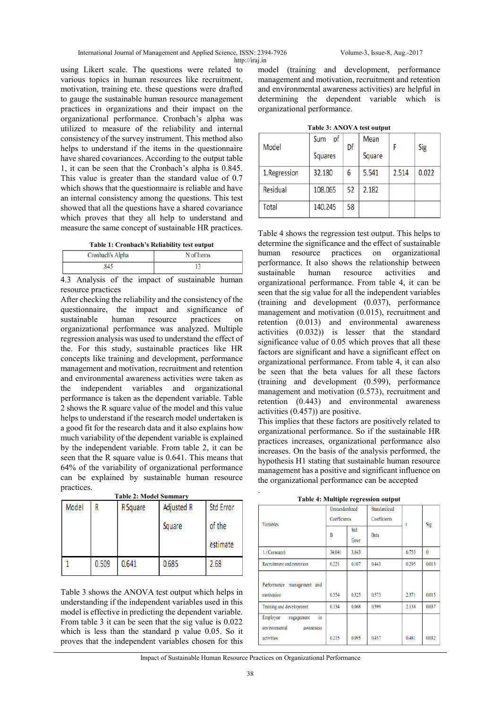International Journal of Management and Applied Science, ISSN: 2394-7926 Volume-3, Issue-8, Aug.-2017 http://iraj.in

using Likert scale. The questions were related to various topics in human resources like recruitment, motivation, training etc. these questions were drafted to gauge the sustainable human resource management practices in organizations and their impact on the organizational performance. Cronbach's alpha was utilized to measure of the reliability and internal consistency of the survey instrument. This method also helps to understand if the items in the questionnaire have shared covariances. According to the output table 1, it can be seen that the Cronbach's alpha is 0.845. This value is greater than the standard value of 0.7 which shows that the questionnaire is reliable and have an internal consistency among the questions. This test showed that all the questions have a shared covariance which proves that they all help to understand and measure the same concept of sustainable HR practices.

**Table 1: Cronbach's Reliability test output**

| Cronbach's Alpha        | N of Items    |  |  |
|-------------------------|---------------|--|--|
|                         |               |  |  |
| $\sim$<br>$\sim$<br>. . | . .<br>$\sim$ |  |  |

4.3 Analysis of the impact of sustainable human resource practices

After checking the reliability and the consistency of the questionnaire, the impact and significance of sustainable human resource practices on organizational performance was analyzed. Multiple regression analysis was used to understand the effect of the. For this study, sustainable practices like HR concepts like training and development, performance management and motivation, recruitment and retention and environmental awareness activities were taken as the independent variables and organizational performance is taken as the dependent variable. Table 2 shows the R square value of the model and this value helps to understand if the research model undertaken is a good fit for the research data and it also explains how much variability of the dependent variable is explained by the independent variable. From table 2, it can be seen that the R square value is 0.641. This means that 64% of the variability of organizational performance can be explained by sustainable human resource practices. **Table 2: Model Summary**

| Model | <b>R</b> Square |       | Adjusted R | <b>Std Error</b> |  |
|-------|-----------------|-------|------------|------------------|--|
|       | R               |       | Square     | of the           |  |
|       | 0.509           | 0.641 | 0.685      | estimate<br>2.68 |  |

Table 3 shows the ANOVA test output which helps in understanding if the independent variables used in this model is effective in predicting the dependent variable. From table 3 it can be seen that the sig value is 0.022 which is less than the standard p value 0.05. So it proves that the independent variables chosen for this

model (training and development, performance management and motivation, recruitment and retention and environmental awareness activities) are helpful in determining the dependent variable which is organizational performance.

**Table 3: ANOVA test output**

| Model        | of<br>Sum<br><b>Squares</b> | Df | Mean<br>Square |       | Sig   |
|--------------|-----------------------------|----|----------------|-------|-------|
| 1.Regression | 32.180                      | 6  | 5.541          | 2.514 | 0.022 |
| Residual     | 108.065                     | 52 | 2.182          |       |       |
| Total        | 140.245                     | 58 |                |       |       |

Table 4 shows the regression test output. This helps to determine the significance and the effect of sustainable human resource practices on organizational performance. It also shows the relationship between sustainable human resource activities and organizational performance. From table 4, it can be seen that the sig value for all the independent variables (training and development (0.037), performance management and motivation (0.015), recruitment and retention (0.013) and environmental awareness activities (0.032)) is lesser that the standard significance value of 0.05 which proves that all these factors are significant and have a significant effect on organizational performance. From table 4, it can also be seen that the beta values for all these factors (training and development (0.599), performance management and motivation (0.573), recruitment and retention (0.443) and environmental awareness activities (0.457)) are positive.

This implies that these factors are positively related to organizational performance. So if the sustainable HR practices increases, organizational performance also increases. On the basis of the analysis performed, the hypothesis H1 stating that sustainable human resource management has a positive and significant influence on the organizational performance can be accepted

**Table 4: Multiple regression output**

| Variables                                                                                  | <b>Unstandardized</b><br>Coefficients |              | Standardized<br>Coefficients |       |          |
|--------------------------------------------------------------------------------------------|---------------------------------------|--------------|------------------------------|-------|----------|
|                                                                                            | B                                     | Std<br>Error | Beta                         | ŧ     | Sig      |
| 1. (Constant)                                                                              | 34,041                                | 3.043        |                              | 6.755 | $\theta$ |
| Recruitment and retention                                                                  | 0.221                                 | 0.107        | 0.443                        | 0.295 | 0.013    |
| Performance management and<br>motivation                                                   | 0.354                                 | 0.325        | 0.573                        | 2.371 | 0.015    |
| Training and development                                                                   | 0.334                                 | 0.068        | 0.599                        | 2.138 | 0.037    |
| Employee<br>$\mathop{\text{in}}$<br>engagement<br>environmental<br>awareness<br>activities | 0.215                                 | 0.095        | 0.457                        | 0.481 | 0.032    |

Impact of Sustainable Human Resource Practices on Organizational Performance

.